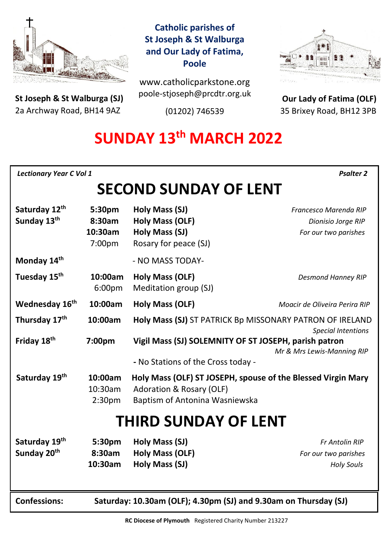

**St Joseph & St Walburga (SJ)** 2a Archway Road, BH14 9AZ 

## **Catholic parishes of St Joseph & St Walburga and Our Lady of Fatima, Poole**

www.catholicparkstone.org poole-stjoseph@prcdtr.org.uk

(01202) 746539



**Our Lady of Fatima (OLF)** 35 Brixey Road, BH12 3PB

# **SUNDAY 13th MARCH 2022**

| <b>Lectionary Year C Vol 1</b><br><b>Psalter 2</b> |                                                                  |                                                                                                                                       |                                                                     |
|----------------------------------------------------|------------------------------------------------------------------|---------------------------------------------------------------------------------------------------------------------------------------|---------------------------------------------------------------------|
| <b>SECOND SUNDAY OF LENT</b>                       |                                                                  |                                                                                                                                       |                                                                     |
| Saturday 12th<br>Sunday 13 <sup>th</sup>           | 5:30pm<br>8:30am<br>10:30am<br>7:00pm                            | Holy Mass (SJ)<br><b>Holy Mass (OLF)</b><br>Holy Mass (SJ)<br>Rosary for peace (SJ)                                                   | Francesco Marenda RIP<br>Dionisio Jorge RIP<br>For our two parishes |
| Monday 14th                                        |                                                                  | - NO MASS TODAY-                                                                                                                      |                                                                     |
| Tuesday 15 <sup>th</sup>                           | 10:00am<br>6:00pm                                                | <b>Holy Mass (OLF)</b><br>Meditation group (SJ)                                                                                       | <b>Desmond Hanney RIP</b>                                           |
| Wednesday 16 <sup>th</sup>                         | 10:00am                                                          | <b>Holy Mass (OLF)</b>                                                                                                                | Moacir de Oliveira Perira RIP                                       |
| Thursday 17 <sup>th</sup>                          | 10:00am                                                          | Holy Mass (SJ) ST PATRICK Bp MISSONARY PATRON OF IRELAND                                                                              |                                                                     |
| Friday 18th                                        | 7:00pm                                                           | Vigil Mass (SJ) SOLEMNITY OF ST JOSEPH, parish patron<br>- No Stations of the Cross today -                                           | <b>Special Intentions</b><br>Mr & Mrs Lewis-Manning RIP             |
| Saturday 19th                                      | 10:00am<br>10:30am<br>2:30 <sub>pm</sub>                         | Holy Mass (OLF) ST JOSEPH, spouse of the Blessed Virgin Mary<br><b>Adoration &amp; Rosary (OLF)</b><br>Baptism of Antonina Wasniewska |                                                                     |
| <b>THIRD SUNDAY OF LENT</b>                        |                                                                  |                                                                                                                                       |                                                                     |
| Saturday 19th<br>Sunday 20th                       | 5:30pm<br>8:30am<br>10:30am                                      | Holy Mass (SJ)<br><b>Holy Mass (OLF)</b><br>Holy Mass (SJ)                                                                            | Fr Antolin RIP<br>For our two parishes<br><b>Holy Souls</b>         |
| <b>Confessions:</b>                                | Saturday: 10.30am (OLF); 4.30pm (SJ) and 9.30am on Thursday (SJ) |                                                                                                                                       |                                                                     |

**RC Diocese of Plymouth** Registered Charity Number 213227